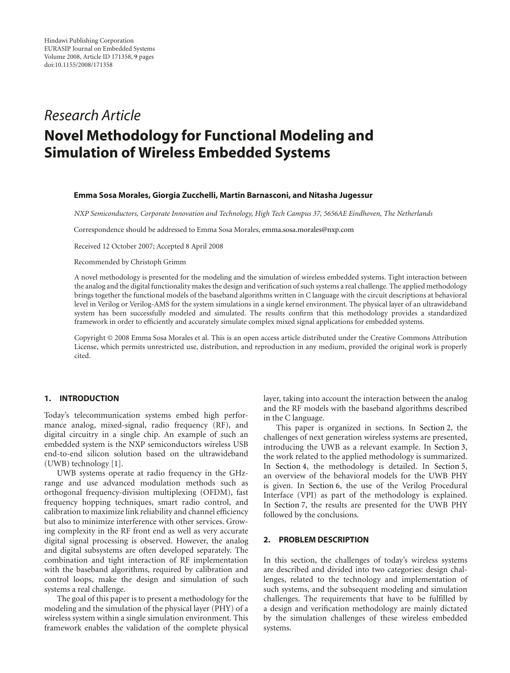## *Research Article*

# **Novel Methodology for Functional Modeling and Simulation of Wireless Embedded Systems**

#### **Emma Sosa Morales, Giorgia Zucchelli, Martin Barnasconi, and Nitasha Jugessur**

*NXP Semiconductors, Corporate Innovation and Technology, High Tech Campus 37, 5656AE Eindhoven, The Netherlands*

Correspondence should be addressed to Emma Sosa Morales, emma.sosa.morales@nxp.com

Received 12 October 2007; Accepted 8 April 2008

Recommended by Christoph Grimm

A novel methodology is presented for the modeling and the simulation of wireless embedded systems. Tight interaction between the analog and the digital functionality makes the design and verification of such systems a real challenge. The applied methodology brings together the functional models of the baseband algorithms written in C language with the circuit descriptions at behavioral level in Verilog or Verilog-AMS for the system simulations in a single kernel environment. The physical layer of an ultrawideband system has been successfully modeled and simulated. The results confirm that this methodology provides a standardized framework in order to efficiently and accurately simulate complex mixed signal applications for embedded systems.

Copyright © 2008 Emma Sosa Morales et al. This is an open access article distributed under the Creative Commons Attribution License, which permits unrestricted use, distribution, and reproduction in any medium, provided the original work is properly cited.

#### **1. INTRODUCTION**

Today's telecommunication systems embed high performance analog, mixed-signal, radio frequency (RF), and digital circuitry in a single chip. An example of such an embedded system is the NXP semiconductors wireless USB end-to-end silicon solution based on the ultrawideband (UWB) technology [1].

UWB systems operate at radio frequency in the GHzrange and use advanced modulation methods such as orthogonal frequency-division multiplexing (OFDM), fast frequency hopping techniques, smart radio control, and calibration to maximize link reliability and channel efficiency but also to minimize interference with other services. Growing complexity in the RF front end as well as very accurate digital signal processing is observed. However, the analog and digital subsystems are often developed separately. The combination and tight interaction of RF implementation with the baseband algorithms, required by calibration and control loops, make the design and simulation of such systems a real challenge.

The goal of this paper is to present a methodology for the modeling and the simulation of the physical layer (PHY) of a wireless system within a single simulation environment. This framework enables the validation of the complete physical

layer, taking into account the interaction between the analog and the RF models with the baseband algorithms described in the C language.

This paper is organized in sections. In Section 2, the challenges of next generation wireless systems are presented, introducing the UWB as a relevant example. In Section 3, the work related to the applied methodology is summarized. In Section 4, the methodology is detailed. In Section 5, an overview of the behavioral models for the UWB PHY is given. In Section 6, the use of the Verilog Procedural Interface (VPI) as part of the methodology is explained. In Section 7, the results are presented for the UWB PHY followed by the conclusions.

## **2. PROBLEM DESCRIPTION**

In this section, the challenges of today's wireless systems are described and divided into two categories: design challenges, related to the technology and implementation of such systems, and the subsequent modeling and simulation challenges. The requirements that have to be fulfilled by a design and verification methodology are mainly dictated by the simulation challenges of these wireless embedded systems.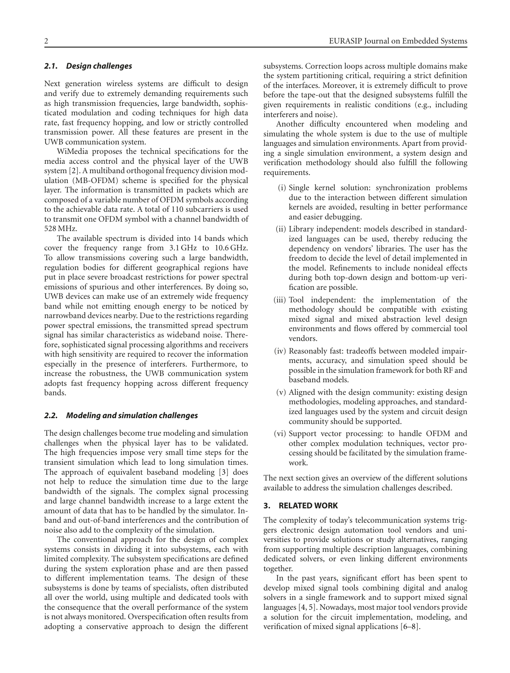## *2.1. Design challenges*

Next generation wireless systems are difficult to design and verify due to extremely demanding requirements such as high transmission frequencies, large bandwidth, sophisticated modulation and coding techniques for high data rate, fast frequency hopping, and low or strictly controlled transmission power. All these features are present in the UWB communication system.

WiMedia proposes the technical specifications for the media access control and the physical layer of the UWB system [2]. A multiband orthogonal frequency division modulation (MB-OFDM) scheme is specified for the physical layer. The information is transmitted in packets which are composed of a variable number of OFDM symbols according to the achievable data rate. A total of 110 subcarriers is used to transmit one OFDM symbol with a channel bandwidth of 528 MHz.

The available spectrum is divided into 14 bands which cover the frequency range from 3.1 GHz to 10.6 GHz. To allow transmissions covering such a large bandwidth, regulation bodies for different geographical regions have put in place severe broadcast restrictions for power spectral emissions of spurious and other interferences. By doing so, UWB devices can make use of an extremely wide frequency band while not emitting enough energy to be noticed by narrowband devices nearby. Due to the restrictions regarding power spectral emissions, the transmitted spread spectrum signal has similar characteristics as wideband noise. Therefore, sophisticated signal processing algorithms and receivers with high sensitivity are required to recover the information especially in the presence of interferers. Furthermore, to increase the robustness, the UWB communication system adopts fast frequency hopping across different frequency bands.

#### *2.2. Modeling and simulation challenges*

The design challenges become true modeling and simulation challenges when the physical layer has to be validated. The high frequencies impose very small time steps for the transient simulation which lead to long simulation times. The approach of equivalent baseband modeling [3] does not help to reduce the simulation time due to the large bandwidth of the signals. The complex signal processing and large channel bandwidth increase to a large extent the amount of data that has to be handled by the simulator. Inband and out-of-band interferences and the contribution of noise also add to the complexity of the simulation.

The conventional approach for the design of complex systems consists in dividing it into subsystems, each with limited complexity. The subsystem specifications are defined during the system exploration phase and are then passed to different implementation teams. The design of these subsystems is done by teams of specialists, often distributed all over the world, using multiple and dedicated tools with the consequence that the overall performance of the system is not always monitored. Overspecification often results from adopting a conservative approach to design the different

subsystems. Correction loops across multiple domains make the system partitioning critical, requiring a strict definition of the interfaces. Moreover, it is extremely difficult to prove before the tape-out that the designed subsystems fulfill the given requirements in realistic conditions (e.g., including interferers and noise).

Another difficulty encountered when modeling and simulating the whole system is due to the use of multiple languages and simulation environments. Apart from providing a single simulation environment, a system design and verification methodology should also fulfill the following requirements.

- (i) Single kernel solution: synchronization problems due to the interaction between different simulation kernels are avoided, resulting in better performance and easier debugging.
- (ii) Library independent: models described in standardized languages can be used, thereby reducing the dependency on vendors' libraries. The user has the freedom to decide the level of detail implemented in the model. Refinements to include nonideal effects during both top-down design and bottom-up verification are possible.
- (iii) Tool independent: the implementation of the methodology should be compatible with existing mixed signal and mixed abstraction level design environments and flows offered by commercial tool vendors.
- (iv) Reasonably fast: tradeoffs between modeled impairments, accuracy, and simulation speed should be possible in the simulation framework for both RF and baseband models.
- (v) Aligned with the design community: existing design methodologies, modeling approaches, and standardized languages used by the system and circuit design community should be supported.
- (vi) Support vector processing: to handle OFDM and other complex modulation techniques, vector processing should be facilitated by the simulation framework.

The next section gives an overview of the different solutions available to address the simulation challenges described.

#### **3. RELATED WORK**

The complexity of today's telecommunication systems triggers electronic design automation tool vendors and universities to provide solutions or study alternatives, ranging from supporting multiple description languages, combining dedicated solvers, or even linking different environments together.

In the past years, significant effort has been spent to develop mixed signal tools combining digital and analog solvers in a single framework and to support mixed signal languages [4, 5]. Nowadays, most major tool vendors provide a solution for the circuit implementation, modeling, and verification of mixed signal applications [6–8].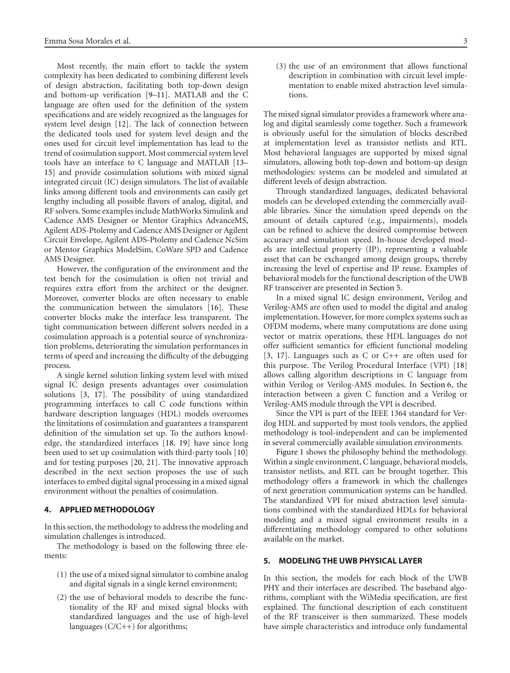Most recently, the main effort to tackle the system complexity has been dedicated to combining different levels of design abstraction, facilitating both top-down design and bottom-up verification [9–11]. MATLAB and the C language are often used for the definition of the system specifications and are widely recognized as the languages for system level design [12]. The lack of connection between the dedicated tools used for system level design and the ones used for circuit level implementation has lead to the trend of cosimulation support. Most commercial system level tools have an interface to C language and MATLAB [13– 15] and provide cosimulation solutions with mixed signal integrated circuit (IC) design simulators. The list of available links among different tools and environments can easily get lengthy including all possible flavors of analog, digital, and RF solvers. Some examples include MathWorks Simulink and Cadence AMS Designer or Mentor Graphics AdvanceMS, Agilent ADS-Ptolemy and Cadence AMS Designer or Agilent Circuit Envelope, Agilent ADS-Ptolemy and Cadence NcSim or Mentor Graphics ModelSim, CoWare SPD and Cadence AMS Designer.

However, the configuration of the environment and the test bench for the cosimulation is often not trivial and requires extra effort from the architect or the designer. Moreover, converter blocks are often necessary to enable the communication between the simulators [16]. These converter blocks make the interface less transparent. The tight communication between different solvers needed in a cosimulation approach is a potential source of synchronization problems, deteriorating the simulation performances in terms of speed and increasing the difficulty of the debugging process.

A single kernel solution linking system level with mixed signal IC design presents advantages over cosimulation solutions [3, 17]. The possibility of using standardized programming interfaces to call C code functions within hardware description languages (HDL) models overcomes the limitations of cosimulation and guarantees a transparent definition of the simulation set up. To the authors knowledge, the standardized interfaces [18, 19] have since long been used to set up cosimulation with third-party tools [10] and for testing purposes [20, 21]. The innovative approach described in the next section proposes the use of such interfaces to embed digital signal processing in a mixed signal environment without the penalties of cosimulation.

#### **4. APPLIED METHODOLOGY**

In this section, the methodology to address the modeling and simulation challenges is introduced.

The methodology is based on the following three elements:

- (1) the use of a mixed signal simulator to combine analog and digital signals in a single kernel environment;
- (2) the use of behavioral models to describe the functionality of the RF and mixed signal blocks with standardized languages and the use of high-level languages (C/C++) for algorithms;

(3) the use of an environment that allows functional description in combination with circuit level implementation to enable mixed abstraction level simulations.

The mixed signal simulator provides a framework where analog and digital seamlessly come together. Such a framework is obviously useful for the simulation of blocks described at implementation level as transistor netlists and RTL. Most behavioral languages are supported by mixed signal simulators, allowing both top-down and bottom-up design methodologies: systems can be modeled and simulated at different levels of design abstraction.

Through standardized languages, dedicated behavioral models can be developed extending the commercially available libraries. Since the simulation speed depends on the amount of details captured (e.g., impairments), models can be refined to achieve the desired compromise between accuracy and simulation speed. In-house developed models are intellectual property (IP), representing a valuable asset that can be exchanged among design groups, thereby increasing the level of expertise and IP reuse. Examples of behavioral models for the functional description of the UWB RF transceiver are presented in Section 5.

In a mixed signal IC design environment, Verilog and Verilog-AMS are often used to model the digital and analog implementation. However, for more complex systems such as OFDM modems, where many computations are done using vector or matrix operations, these HDL languages do not offer sufficient semantics for efficient functional modeling [3, 17]. Languages such as C or C++ are often used for this purpose. The Verilog Procedural Interface (VPI) [18] allows calling algorithm descriptions in C language from within Verilog or Verilog-AMS modules. In Section 6, the interaction between a given C function and a Verilog or Verilog-AMS module through the VPI is described.

Since the VPI is part of the IEEE 1364 standard for Verilog HDL and supported by most tools vendors, the applied methodology is tool-independent and can be implemented in several commercially available simulation environments.

Figure 1 shows the philosophy behind the methodology. Within a single environment, C language, behavioral models, transistor netlists, and RTL can be brought together. This methodology offers a framework in which the challenges of next generation communication systems can be handled. The standardized VPI for mixed abstraction level simulations combined with the standardized HDLs for behavioral modeling and a mixed signal environment results in a differentiating methodology compared to other solutions available on the market.

## **5. MODELING THE UWB PHYSICAL LAYER**

In this section, the models for each block of the UWB PHY and their interfaces are described. The baseband algorithms, compliant with the WiMedia specification, are first explained. The functional description of each constituent of the RF transceiver is then summarized. These models have simple characteristics and introduce only fundamental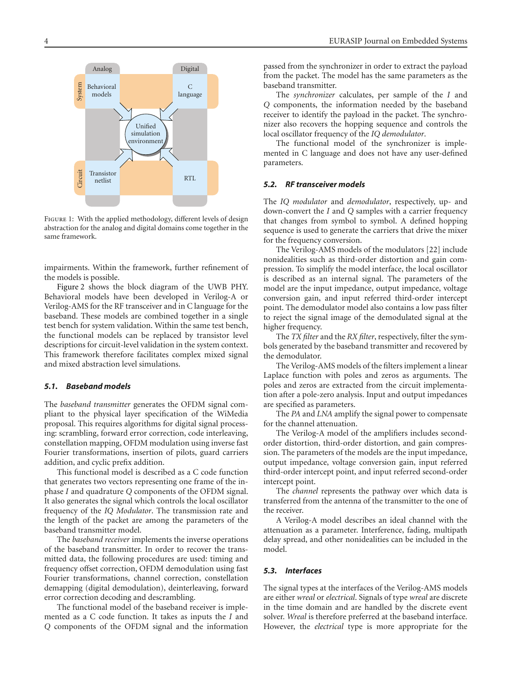

Figure 1: With the applied methodology, different levels of design abstraction for the analog and digital domains come together in the same framework.

impairments. Within the framework, further refinement of the models is possible.

Figure 2 shows the block diagram of the UWB PHY. Behavioral models have been developed in Verilog-A or Verilog-AMS for the RF transceiver and in C language for the baseband. These models are combined together in a single test bench for system validation. Within the same test bench, the functional models can be replaced by transistor level descriptions for circuit-level validation in the system context. This framework therefore facilitates complex mixed signal and mixed abstraction level simulations.

## *5.1. Baseband models*

The *baseband transmitter* generates the OFDM signal compliant to the physical layer specification of the WiMedia proposal. This requires algorithms for digital signal processing: scrambling, forward error correction, code interleaving, constellation mapping, OFDM modulation using inverse fast Fourier transformations, insertion of pilots, guard carriers addition, and cyclic prefix addition.

This functional model is described as a C code function that generates two vectors representing one frame of the inphase *I* and quadrature *Q* components of the OFDM signal. It also generates the signal which controls the local oscillator frequency of the *IQ Modulator*. The transmission rate and the length of the packet are among the parameters of the baseband transmitter model.

The *baseband receiver* implements the inverse operations of the baseband transmitter. In order to recover the transmitted data, the following procedures are used: timing and frequency offset correction, OFDM demodulation using fast Fourier transformations, channel correction, constellation demapping (digital demodulation), deinterleaving, forward error correction decoding and descrambling.

The functional model of the baseband receiver is implemented as a C code function. It takes as inputs the *I* and *Q* components of the OFDM signal and the information passed from the synchronizer in order to extract the payload from the packet. The model has the same parameters as the baseband transmitter.

The *synchronizer* calculates, per sample of the *I* and *Q* components, the information needed by the baseband receiver to identify the payload in the packet. The synchronizer also recovers the hopping sequence and controls the local oscillator frequency of the *IQ demodulator*.

The functional model of the synchronizer is implemented in C language and does not have any user-defined parameters.

#### *5.2. RF transceiver models*

The *IQ modulator* and *demodulator*, respectively, up- and down-convert the *I* and *Q* samples with a carrier frequency that changes from symbol to symbol. A defined hopping sequence is used to generate the carriers that drive the mixer for the frequency conversion.

The Verilog-AMS models of the modulators [22] include nonidealities such as third-order distortion and gain compression. To simplify the model interface, the local oscillator is described as an internal signal. The parameters of the model are the input impedance, output impedance, voltage conversion gain, and input referred third-order intercept point. The demodulator model also contains a low pass filter to reject the signal image of the demodulated signal at the higher frequency.

The *TX filter* and the *RX filter*, respectively, filter the symbols generated by the baseband transmitter and recovered by the demodulator.

The Verilog-AMS models of the filters implement a linear Laplace function with poles and zeros as arguments. The poles and zeros are extracted from the circuit implementation after a pole-zero analysis. Input and output impedances are specified as parameters.

The *PA* and *LNA* amplify the signal power to compensate for the channel attenuation.

The Verilog-A model of the amplifiers includes secondorder distortion, third-order distortion, and gain compression. The parameters of the models are the input impedance, output impedance, voltage conversion gain, input referred third-order intercept point, and input referred second-order intercept point.

The *channel* represents the pathway over which data is transferred from the antenna of the transmitter to the one of the receiver.

A Verilog-A model describes an ideal channel with the attenuation as a parameter. Interference, fading, multipath delay spread, and other nonidealities can be included in the model.

## *5.3. Interfaces*

The signal types at the interfaces of the Verilog-AMS models are either *wreal* or *electrical*. Signals of type *wreal* are discrete in the time domain and are handled by the discrete event solver. *Wreal* is therefore preferred at the baseband interface. However, the *electrical* type is more appropriate for the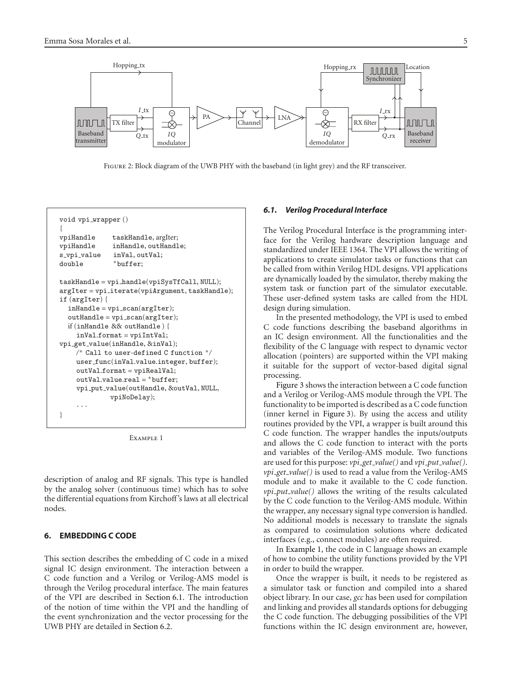

Figure 2: Block diagram of the UWB PHY with the baseband (in light grey) and the RF transceiver.



Example 1

description of analog and RF signals. This type is handled by the analog solver (continuous time) which has to solve the differential equations from Kirchoff's laws at all electrical nodes.

#### **6. EMBEDDING C CODE**

This section describes the embedding of C code in a mixed signal IC design environment. The interaction between a C code function and a Verilog or Verilog-AMS model is through the Verilog procedural interface. The main features of the VPI are described in Section 6.1. The introduction of the notion of time within the VPI and the handling of the event synchronization and the vector processing for the UWB PHY are detailed in Section 6.2.

#### *6.1. Verilog Procedural Interface*

The Verilog Procedural Interface is the programming interface for the Verilog hardware description language and standardized under IEEE 1364. The VPI allows the writing of applications to create simulator tasks or functions that can be called from within Verilog HDL designs. VPI applications are dynamically loaded by the simulator, thereby making the system task or function part of the simulator executable. These user-defined system tasks are called from the HDL design during simulation.

In the presented methodology, the VPI is used to embed C code functions describing the baseband algorithms in an IC design environment. All the functionalities and the flexibility of the C language with respect to dynamic vector allocation (pointers) are supported within the VPI making it suitable for the support of vector-based digital signal processing.

Figure 3 shows the interaction between a C code function and a Verilog or Verilog-AMS module through the VPI. The functionality to be imported is described as a C code function (inner kernel in Figure 3). By using the access and utility routines provided by the VPI, a wrapper is built around this C code function. The wrapper handles the inputs/outputs and allows the C code function to interact with the ports and variables of the Verilog-AMS module. Two functions are used for this purpose: *vpi get value()* and *vpi put value()*. *vpi get value()* is used to read a value from the Verilog-AMS module and to make it available to the C code function. *vpi put value()* allows the writing of the results calculated by the C code function to the Verilog-AMS module. Within the wrapper, any necessary signal type conversion is handled. No additional models is necessary to translate the signals as compared to cosimulation solutions where dedicated interfaces (e.g., connect modules) are often required.

In Example 1, the code in C language shows an example of how to combine the utility functions provided by the VPI in order to build the wrapper.

Once the wrapper is built, it needs to be registered as a simulator task or function and compiled into a shared object library. In our case, *gcc* has been used for compilation and linking and provides all standards options for debugging the C code function. The debugging possibilities of the VPI functions within the IC design environment are, however,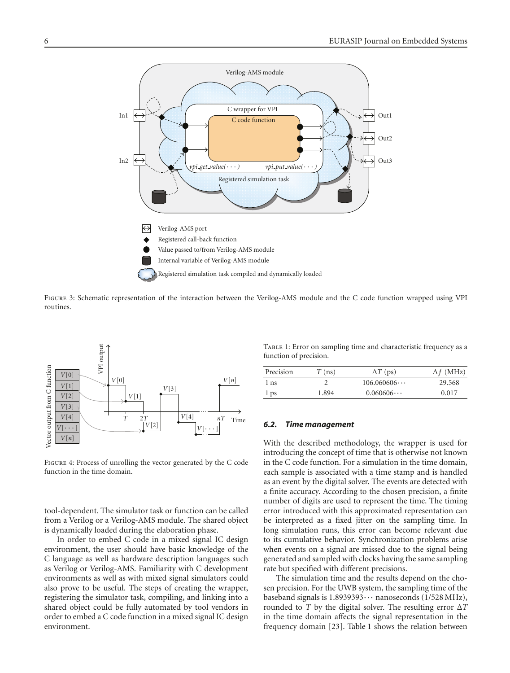

Figure 3: Schematic representation of the interaction between the Verilog-AMS module and the C code function wrapped using VPI routines.



FIGURE 4: Process of unrolling the vector generated by the C code function in the time domain.

tool-dependent. The simulator task or function can be called from a Verilog or a Verilog-AMS module. The shared object is dynamically loaded during the elaboration phase.

In order to embed C code in a mixed signal IC design environment, the user should have basic knowledge of the C language as well as hardware description languages such as Verilog or Verilog-AMS. Familiarity with C development environments as well as with mixed signal simulators could also prove to be useful. The steps of creating the wrapper, registering the simulator task, compiling, and linking into a shared object could be fully automated by tool vendors in order to embed a C code function in a mixed signal IC design environment.

Table 1: Error on sampling time and characteristic frequency as a function of precision.

| Precision | $T$ (ns) | $\Delta T$ (ps) | $\Delta f$ (MHz) |
|-----------|----------|-----------------|------------------|
| 1 ns      |          | 106.060606      | 29.568           |
| 1 ps      | 1.894    | 0.060606        | 0.017            |

#### *6.2. Time management*

With the described methodology, the wrapper is used for introducing the concept of time that is otherwise not known in the C code function. For a simulation in the time domain, each sample is associated with a time stamp and is handled as an event by the digital solver. The events are detected with a finite accuracy. According to the chosen precision, a finite number of digits are used to represent the time. The timing error introduced with this approximated representation can be interpreted as a fixed jitter on the sampling time. In long simulation runs, this error can become relevant due to its cumulative behavior. Synchronization problems arise when events on a signal are missed due to the signal being generated and sampled with clocks having the same sampling rate but specified with different precisions.

The simulation time and the results depend on the chosen precision. For the UWB system, the sampling time of the baseband signals is 1.8939393··· nanoseconds (1/528 MHz), rounded to *T* by the digital solver. The resulting error Δ*T* in the time domain affects the signal representation in the frequency domain [23]. Table 1 shows the relation between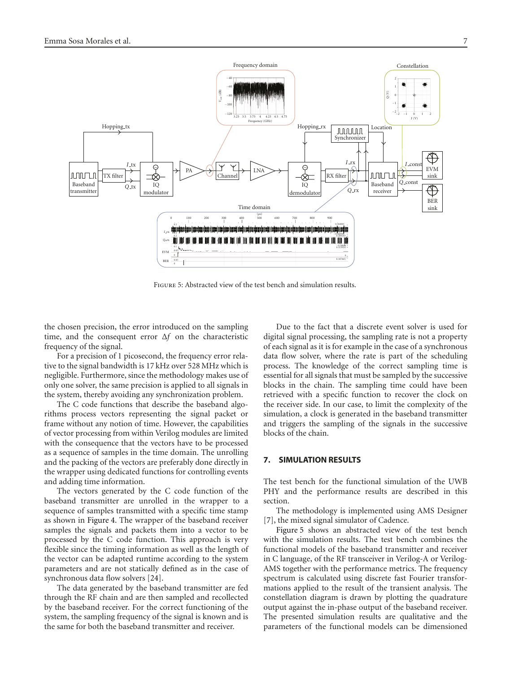

Figure 5: Abstracted view of the test bench and simulation results.

the chosen precision, the error introduced on the sampling time, and the consequent error Δ*f* on the characteristic frequency of the signal.

For a precision of 1 picosecond, the frequency error relative to the signal bandwidth is 17 kHz over 528 MHz which is negligible. Furthermore, since the methodology makes use of only one solver, the same precision is applied to all signals in the system, thereby avoiding any synchronization problem.

The C code functions that describe the baseband algorithms process vectors representing the signal packet or frame without any notion of time. However, the capabilities of vector processing from within Verilog modules are limited with the consequence that the vectors have to be processed as a sequence of samples in the time domain. The unrolling and the packing of the vectors are preferably done directly in the wrapper using dedicated functions for controlling events and adding time information.

The vectors generated by the C code function of the baseband transmitter are unrolled in the wrapper to a sequence of samples transmitted with a specific time stamp as shown in Figure 4. The wrapper of the baseband receiver samples the signals and packets them into a vector to be processed by the C code function. This approach is very flexible since the timing information as well as the length of the vector can be adapted runtime according to the system parameters and are not statically defined as in the case of synchronous data flow solvers [24].

The data generated by the baseband transmitter are fed through the RF chain and are then sampled and recollected by the baseband receiver. For the correct functioning of the system, the sampling frequency of the signal is known and is the same for both the baseband transmitter and receiver.

Due to the fact that a discrete event solver is used for digital signal processing, the sampling rate is not a property of each signal as it is for example in the case of a synchronous data flow solver, where the rate is part of the scheduling process. The knowledge of the correct sampling time is essential for all signals that must be sampled by the successive blocks in the chain. The sampling time could have been retrieved with a specific function to recover the clock on the receiver side. In our case, to limit the complexity of the simulation, a clock is generated in the baseband transmitter and triggers the sampling of the signals in the successive blocks of the chain.

#### **7. SIMULATION RESULTS**

The test bench for the functional simulation of the UWB PHY and the performance results are described in this section.

The methodology is implemented using AMS Designer [7], the mixed signal simulator of Cadence.

Figure 5 shows an abstracted view of the test bench with the simulation results. The test bench combines the functional models of the baseband transmitter and receiver in C language, of the RF transceiver in Verilog-A or Verilog-AMS together with the performance metrics. The frequency spectrum is calculated using discrete fast Fourier transformations applied to the result of the transient analysis. The constellation diagram is drawn by plotting the quadrature output against the in-phase output of the baseband receiver. The presented simulation results are qualitative and the parameters of the functional models can be dimensioned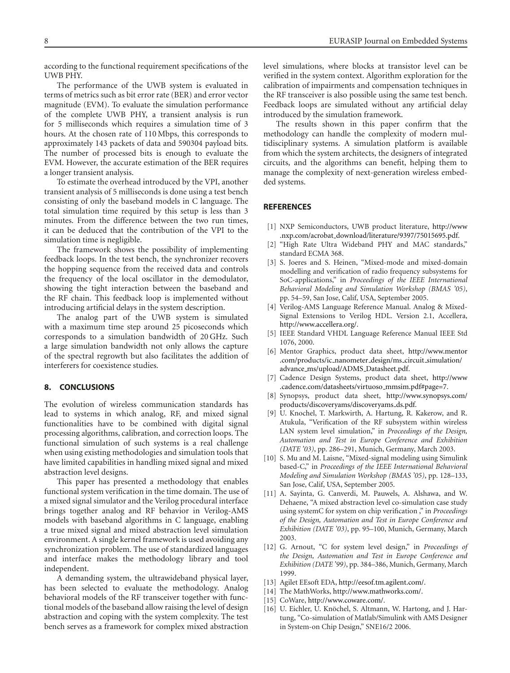according to the functional requirement specifications of the UWB PHY.

The performance of the UWB system is evaluated in terms of metrics such as bit error rate (BER) and error vector magnitude (EVM). To evaluate the simulation performance of the complete UWB PHY, a transient analysis is run for 5 milliseconds which requires a simulation time of 3 hours. At the chosen rate of 110 Mbps, this corresponds to approximately 143 packets of data and 590304 payload bits. The number of processed bits is enough to evaluate the EVM. However, the accurate estimation of the BER requires a longer transient analysis.

To estimate the overhead introduced by the VPI, another transient analysis of 5 milliseconds is done using a test bench consisting of only the baseband models in C language. The total simulation time required by this setup is less than 3 minutes. From the difference between the two run times, it can be deduced that the contribution of the VPI to the simulation time is negligible.

The framework shows the possibility of implementing feedback loops. In the test bench, the synchronizer recovers the hopping sequence from the received data and controls the frequency of the local oscillator in the demodulator, showing the tight interaction between the baseband and the RF chain. This feedback loop is implemented without introducing artificial delays in the system description.

The analog part of the UWB system is simulated with a maximum time step around 25 picoseconds which corresponds to a simulation bandwidth of 20 GHz. Such a large simulation bandwidth not only allows the capture of the spectral regrowth but also facilitates the addition of interferers for coexistence studies.

## **8. CONCLUSIONS**

The evolution of wireless communication standards has lead to systems in which analog, RF, and mixed signal functionalities have to be combined with digital signal processing algorithms, calibration, and correction loops. The functional simulation of such systems is a real challenge when using existing methodologies and simulation tools that have limited capabilities in handling mixed signal and mixed abstraction level designs.

This paper has presented a methodology that enables functional system verification in the time domain. The use of a mixed signal simulator and the Verilog procedural interface brings together analog and RF behavior in Verilog-AMS models with baseband algorithms in C language, enabling a true mixed signal and mixed abstraction level simulation environment. A single kernel framework is used avoiding any synchronization problem. The use of standardized languages and interface makes the methodology library and tool independent.

A demanding system, the ultrawideband physical layer, has been selected to evaluate the methodology. Analog behavioral models of the RF transceiver together with functional models of the baseband allow raising the level of design abstraction and coping with the system complexity. The test bench serves as a framework for complex mixed abstraction level simulations, where blocks at transistor level can be verified in the system context. Algorithm exploration for the calibration of impairments and compensation techniques in the RF transceiver is also possible using the same test bench. Feedback loops are simulated without any artificial delay introduced by the simulation framework.

The results shown in this paper confirm that the methodology can handle the complexity of modern multidisciplinary systems. A simulation platform is available from which the system architects, the designers of integrated circuits, and the algorithms can benefit, helping them to manage the complexity of next-generation wireless embedded systems.

## **REFERENCES**

- [1] NXP Semiconductors, UWB product literature, http://www .nxp.com/acrobat download/literature/9397/75015695.pdf.
- [2] "High Rate Ultra Wideband PHY and MAC standards," standard ECMA 368.
- [3] S. Joeres and S. Heinen, "Mixed-mode and mixed-domain modelling and verification of radio frequency subsystems for SoC-applications," in *Proceedings of the IEEE International Behavioral Modeling and Simulation Workshop (BMAS '05)*, pp. 54–59, San Jose, Calif, USA, September 2005.
- [4] Verilog-AMS Language Reference Manual. Analog & Mixed-Signal Extensions to Verilog HDL. Version 2.1, Accellera, http://www.accellera.org/.
- [5] IEEE Standard VHDL Language Reference Manual IEEE Std 1076, 2000.
- [6] Mentor Graphics, product data sheet, http://www.mentor .com/products/ic nanometer design/ms circuit simulation/ advance ms/upload/ADMS Datasheet.pdf.
- [7] Cadence Design Systems, product data sheet, http://www .cadence.com/datasheets/virtuoso mmsim.pdf#page=7.
- [8] Synopsys, product data sheet, http://www.synopsys.com/ products/discoveryams/discoveryams\_ds.pdf.
- [9] U. Knochel, T. Markwirth, A. Hartung, R. Kakerow, and R. Atukula, "Verification of the RF subsystem within wireless LAN system level simulation," in *Proceedings of the Design, Automation and Test in Europe Conference and Exhibition (DATE '03)*, pp. 286–291, Munich, Germany, March 2003.
- [10] S. Mu and M. Laisne, "Mixed-signal modeling using Simulink based-C," in *Proceedings of the IEEE International Behavioral Modeling and Simulation Workshop (BMAS '05)*, pp. 128–133, San Jose, Calif, USA, September 2005.
- [11] A. Sayinta, G. Canverdi, M. Pauwels, A. Alshawa, and W. Dehaene, "A mixed abstraction level co-simulation case study using systemC for system on chip verification ," in *Proceedings of the Design, Automation and Test in Europe Conference and Exhibition (DATE '03)*, pp. 95–100, Munich, Germany, March 2003.
- [12] G. Arnout, "C for system level design," in *Proceedings of the Design, Automation and Test in Europe Conference and Exhibition (DATE '99)*, pp. 384–386, Munich, Germany, March 1999.
- [13] Agilet EEsoft EDA, http://eesof.tm.agilent.com/.
- [14] The MathWorks, http://www.mathworks.com/.
- [15] CoWare, http://www.coware.com/.
- [16] U. Eichler, U. Knöchel, S. Altmann, W. Hartong, and J. Hartung, "Co-simulation of Matlab/Simulink with AMS Designer in System-on Chip Design," SNE16/2 2006.